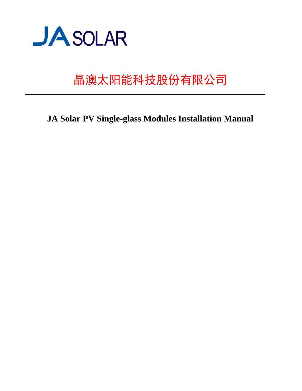

# 晶澳太阳能科技股份有限公司

**JA Solar PV Single-glass Modules Installation Manual**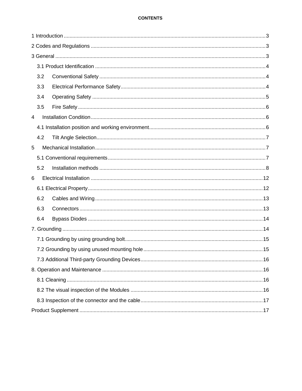# **CONTENTS**

|   | 3.2 |  |  |  |  |
|---|-----|--|--|--|--|
|   | 3.3 |  |  |  |  |
|   | 3.4 |  |  |  |  |
|   | 3.5 |  |  |  |  |
| 4 |     |  |  |  |  |
|   |     |  |  |  |  |
|   | 4.2 |  |  |  |  |
| 5 |     |  |  |  |  |
|   |     |  |  |  |  |
|   | 5.2 |  |  |  |  |
| 6 |     |  |  |  |  |
|   |     |  |  |  |  |
|   | 6.2 |  |  |  |  |
|   | 6.3 |  |  |  |  |
|   | 6.4 |  |  |  |  |
|   |     |  |  |  |  |
|   |     |  |  |  |  |
|   |     |  |  |  |  |
|   |     |  |  |  |  |
|   |     |  |  |  |  |
|   |     |  |  |  |  |
|   |     |  |  |  |  |
|   |     |  |  |  |  |
|   |     |  |  |  |  |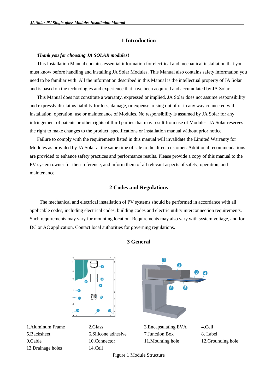# **1 Introduction**

#### <span id="page-2-0"></span>*Thank you for choosing JA SOLAR modules!*

This Installation Manual contains essential information for electrical and mechanical installation that you must know before handling and installing JA Solar Modules. This Manual also contains safety information you need to be familiar with. All the information described in this Manual is the intellectual property of JA Solar and is based on the technologies and experience that have been acquired and accumulated by JA Solar.

This Manual does not constitute a warranty, expressed or implied. JA Solar does not assume responsibility and expressly disclaims liability for loss, damage, or expense arising out of or in any way connected with installation, operation, use or maintenance of Modules. No responsibility is assumed by JA Solar for any infringement of patents or other rights of third parties that may result from use of Modules. JA Solar reserves the right to make changes to the product, specifications or installation manual without prior notice.

<span id="page-2-1"></span>Failure to comply with the requirements listed in this manual will invalidate the Limited Warranty for Modules as provided by JA Solar at the same time of sale to the direct customer. Additional recommendations are provided to enhance safety practices and performance results. Please provide a copy of this manual to the PV system owner for their reference, and inform them of all relevant aspects of safety, operation, and maintenance.

## **2 Codes and Regulations**

<span id="page-2-2"></span>The mechanical and electrical installation of PV systems should be performed in accordance with all applicable codes, including electrical codes, building codes and electric utility interconnection requirements. Such requirements may vary for mounting location. Requirements may also vary with system voltage, and for DC or AC application. Contact local authorities for governing regulations.



# **3 General**

Figure 1 Module Structure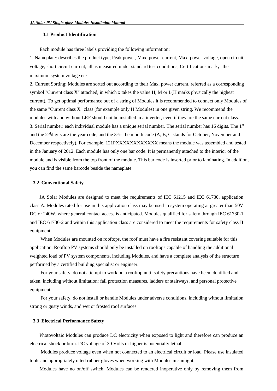# <span id="page-3-0"></span>**3.1 Product Identification**

Each module has three labels providing the following information:

1. Nameplate: describes the product type; Peak power, Max. power current, Max. power voltage, open circuit voltage, short circuit current, all as measured under standard test conditions; Certifications mark, the maximum system voltage etc.

2. Current Sorting: Modules are sorted out according to their Max. power current, referred as a corresponding symbol "Current class X" attached, in which x takes the value H, M or L(H marks physically the highest current). To get optimal performance out of a string of Modules it is recommended to connect only Modules of the same "Current class X" class (for example only H Modules) in one given string. We recommend the modules with and without LRF should not be installed in a inverter, even if they are the same current class. 3. Serial number: each individual module has a unique serial number. The serial number has 16 digits. The 1st and the  $2<sup>nd</sup>$  digits are the year code, and the  $3<sup>th</sup>$  is the month code (A, B, C stands for October, November and December respectively). For example, 121PXXXXXXXXXXXX means the module was assembled and tested in the January of 2012. Each module has only one bar code. It is permanently attached to the interior of the module and is visible from the top front of the module. This bar code is inserted prior to laminating. In addition, you can find the same barcode beside the nameplate.

#### <span id="page-3-1"></span>**3.2 Conventional Safety**

JA Solar Modules are designed to meet the requirements of IEC 61215 and IEC 61730, application class A. Modules rated for use in this application class may be used in system operating at greater than 50V DC or 240W, where general contact access is anticipated. Modules qualified for safety through IEC 61730-1 and IEC 61730-2 and within this application class are considered to meet the requirements for safety class II equipment.

When Modules are mounted on rooftops, the roof must have a fire resistant covering suitable for this application. Rooftop PV systems should only be installed on rooftops capable of handling the additional weighted load of PV system components, including Modules, and have a complete analysis of the structure performed by a certified building specialist or engineer.

For your safety, do not attempt to work on a rooftop until safety precautions have been identified and taken, including without limitation: fall protection measures, ladders or stairways, and personal protective equipment.

<span id="page-3-2"></span>For your safety, do not install or handle Modules under adverse conditions, including without limitation strong or gusty winds, and wet or frosted roof surfaces.

#### **3.3 Electrical Performance Safety**

Photovoltaic Modules can produce DC electricity when exposed to light and therefore can produce an electrical shock or burn. DC voltage of 30 Volts or higher is potentially lethal.

Modules produce voltage even when not connected to an electrical circuit or load. Please use insulated tools and appropriately rated rubber gloves when working with Modules in sunlight.

Modules have no on/off switch. Modules can be rendered inoperative only by removing them from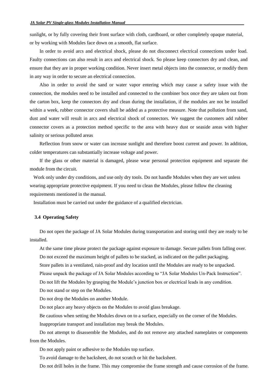sunlight, or by fully covering their front surface with cloth, cardboard, or other completely opaque material, or by working with Modules face down on a smooth, flat surface.

In order to avoid arcs and electrical shock, please do not disconnect electrical connections under load. Faulty connections can also result in arcs and electrical shock. So please keep connectors dry and clean, and ensure that they are in proper working condition. Never insert metal objects into the connector, or modify them in any way in order to secure an electrical connection.

Also in order to avoid the sand or water vapor entering which may cause a safety issue with the connection, the modules need to be installed and connected to the combiner box once they are taken out from the carton box, keep the connectors dry and clean during the installation, if the modules are not be installed within a week, rubber connector covers shall be added as a protective measure. Note that pollution from sand, dust and water will result in arcs and electrical shock of connectors. We suggest the customers add rubber connector covers as a protection method specific to the area with heavy dust or seaside areas with higher salinity or serious polluted areas

Reflection from snow or water can increase sunlight and therefore boost current and power. In addition, colder temperatures can substantially increase voltage and power.

If the glass or other material is damaged, please wear personal protection equipment and separate the module from the circuit.

<span id="page-4-0"></span> Work only under dry conditions, and use only dry tools. Do not handle Modules when they are wet unless wearing appropriate protective equipment. If you need to clean the Modules, please follow the cleaning requirements mentioned in the manual.

Installation must be carried out under the guidance of a qualified electrician.

#### **3.4 Operating Safety**

Do not open the package of JA Solar Modules during transportation and storing until they are ready to be installed.

At the same time please protect the package against exposure to damage. Secure pallets from falling over.

Do not exceed the maximum height of pallets to be stacked, as indicated on the pallet packaging.

Store pallets in a ventilated, rain-proof and dry location until the Modules are ready to be unpacked.

Please unpack the package of JA Solar Modules according to "JA Solar Modules Un-Pack Instruction".

Do not lift the Modules by grasping the Module's junction box or electrical leads in any condition.

Do not stand or step on the Modules.

Do not drop the Modules on another Module.

Do not place any heavy objects on the Modules to avoid glass breakage.

Be cautious when setting the Modules down on to a surface, especially on the corner of the Modules.

Inappropriate transport and installation may break the Modules.

Do not attempt to disassemble the Modules, and do not remove any attached nameplates or components from the Modules.

Do not apply paint or adhesive to the Modules top surface.

To avoid damage to the backsheet, do not scratch or hit the backsheet.

Do not drill holes in the frame. This may compromise the frame strength and cause corrosion of the frame.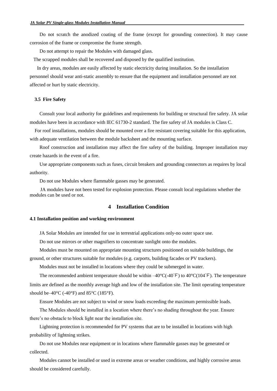Do not scratch the anodized coating of the frame (except for grounding connection). It may cause corrosion of the frame or compromise the frame strength.

Do not attempt to repair the Modules with damaged glass.

The scrapped modules shall be recovered and disposed by the qualified institution.

<span id="page-5-0"></span>In dry areas, modules are easily affected by static electricity during installation. So the installation personnel should wear anti-static assembly to ensure that the equipment and installation personnel are not affected or hurt by static electricity.

## **3.5 Fire Safety**

Consult your local authority for guidelines and requirements for building or structural fire safety. JA solar modules have been in accordance with IEC 61730-2 standard. The fire safety of JA modules is Class C.

 For roof installations, modules should be mounted over a fire resistant covering suitable for this application, with adequate ventilation between the module backsheet and the mounting surface.

Roof construction and installation may affect the fire safety of the building. Improper installation may create hazards in the event of a fire.

Use appropriate components such as fuses, circuit breakers and grounding connectors as requires by local authority.

<span id="page-5-1"></span>Do not use Modules where flammable gasses may be generated.

<span id="page-5-2"></span> JA modules have not been tested for explosion protection. Please consult local regulations whether the modules can be used or not.

# **4 Installation Condition**

#### **4.1 Installation position and working environment**

JA Solar Modules are intended for use in terrestrial applications only-no outer space use.

Do not use mirrors or other magnifiers to concentrate sunlight onto the modules.

Modules must be mounted on appropriate mounting structures positioned on suitable buildings, the

ground, or other structures suitable for modules (e.g. carports, building facades or PV trackers).

Modules must not be installed in locations where they could be submerged in water.

The recommended ambient temperature should be within  $-40^{\circ}C(40^{\circ}F)$  to  $40^{\circ}C(104^{\circ}F)$ . The temperature limits are defined as the monthly average high and low of the installation site. The limit operating temperature should be–40 $\rm{°C}$  (-40 $\rm{°F}$ ) and 85 $\rm{°C}$  (185 $\rm{°F}$ ).

Ensure Modules are not subject to wind or snow loads exceeding the maximum permissible loads.

The Modules should be installed in a location where there's no shading throughout the year. Ensure there's no obstacle to block light near the installation site.

Lightning protection is recommended for PV systems that are to be installed in locations with high probability of lightning strikes.

Do not use Modules near equipment or in locations where flammable gasses may be generated or collected.

Modules cannot be installed or used in extreme areas or weather conditions, and highly corrosive areas should be considered carefully.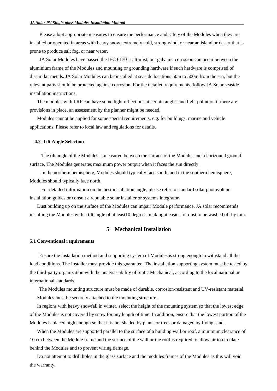Please adopt appropriate measures to ensure the performance and safety of the Modules when they are installed or operated in areas with heavy snow, extremely cold, strong wind, or near an island or desert that is prone to produce salt fog, or near water.

JA Solar Modules have passed the IEC 61701 salt-mist, but galvanic corrosion can occur between the aluminium frame of the Modules and mounting or grounding hardware if such hardware is comprised of dissimilar metals. JA Solar Modules can be installed at seaside locations 50m to 500m from the sea, but the relevant parts should be protected against corrosion. For the detailed requirements, follow JA Solar seaside installation instructions.

The modules with LRF can have some light reflections at certain angles and light pollution if there are provisions in place, an assessment by the planner might be needed.

<span id="page-6-0"></span>Modules cannot be applied for some special requirements, e.g. for buildings, marine and vehicle applications. Please refer to local law and regulations for details.

#### **4.2 Tilt Angle Selection**

The tilt angle of the Modules is measured between the surface of the Modules and a horizontal ground surface. The Modules generates maximum power output when it faces the sun directly.

In the northern hemisphere, Modules should typically face south, and in the southern hemisphere, Modules should typically face north.

For detailed information on the best installation angle, please refer to standard solar photovoltaic installation guides or consult a reputable solar installer or systems integrator.

<span id="page-6-2"></span><span id="page-6-1"></span>Dust building up on the surface of the Modules can impair Module performance. JA solar recommends installing the Modules with a tilt angle of at least10 degrees, making it easier for dust to be washed off by rain.

## **5 Mechanical Installation**

#### **5.1 Conventional requirements**

Ensure the installation method and supporting system of Modules is strong enough to withstand all the load conditions. The Installer must provide this guarantee. The installation supporting system must be tested by the third-party organization with the analysis ability of Static Mechanical, according to the local national or international standards.

The Modules mounting structure must be made of durable, corrosion-resistant and UV-resistant material. Modules must be securely attached to the mounting structure.

In regions with heavy snowfall in winter, select the height of the mounting system so that the lowest edge of the Modules is not covered by snow for any length of time. In addition, ensure that the lowest portion of the Modules is placed high enough so that it is not shaded by plants or trees or damaged by flying sand.

When the Modules are supported parallel to the surface of a building wall or roof, a minimum clearance of 10 cm between the Module frame and the surface of the wall or the roof is required to allow air to circulate behind the Modules and to prevent wiring damage.

Do not attempt to drill holes in the glass surface and the modules frames of the Modules as this will void the warranty.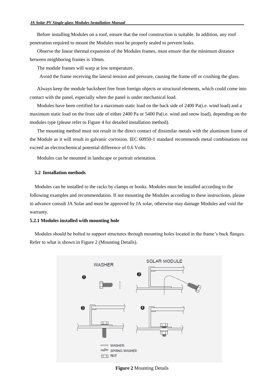Before installing Modules on a roof, ensure that the roof construction is suitable. In addition, any roof penetration required to mount the Modules must be properly sealed to prevent leaks.

Observe the linear thermal expansion of the Modules frames, must ensure that the minimum distance between neighboring frames is 10mm.

The module frames will warp at low temperature.

Avoid the frame receiving the lateral tension and pressure, causing the frame off or crushing the glass.

Always keep the module backsheet free from foreign objects or structural elements, which could come into contact with the panel, especially when the panel is under mechanical load.

Modules have been certified for a maximum static load on the back side of 2400 Pa(i.e. wind load) and a maximum static load on the front side of either 2400 Pa or 5400 Pa(i.e. wind and snow load), depending on the modules type (please refer to Figure 4 for detailed installation method).

<span id="page-7-0"></span>The mounting method must not result in the direct contact of dissimilar metals with the aluminum frame of the Module as it will result in galvanic corrosion. IEC 60950-1 standard recommends metal combinations not exceed an electrochemical potential difference of 0.6 Volts.

Modules can be mounted in landscape or portrait orientation.

#### **5.2 Installation methods**

Modules can be installed to the racks by clamps or hooks. Modules must be installed according to the following examples and recommendation. If not mounting the Modules according to these instructions, please in advance consult JA Solar and must be approved by JA solar, otherwise may damage Modules and void the warranty.

#### **5.2.1 Modules installed with mounting hole**

Modules should be bolted to support structures through mounting holes located in the frame's back flanges. Refer to what is shown in Figure 2 (Mounting Details).



**Figure 2** Mounting Details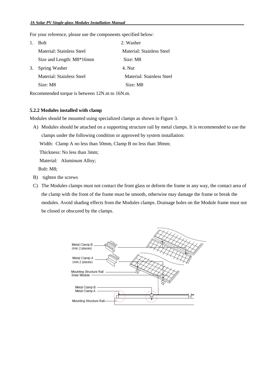For your reference, please use the components specified below:

| $\mathbf{1}$ . | <b>Bolt</b>               | 2. Washer                 |
|----------------|---------------------------|---------------------------|
|                | Material: Stainless Steel | Material: Stainless Steel |
|                | Size and Length: M8*16mm  | Size: M8                  |
| 3.             | <b>Spring Washer</b>      | 4. Nut                    |
|                | Material: Stainless Steel | Material: Stainless Steel |
|                | Size: M8                  | Size: M8                  |

Recommended torque is between 12N.m to 16N.m.

# **5.2.2 Modules installed with clamp**

Modules should be mounted using specialized clamps as shown in Figure 3.

A) Modules should be attached on a supporting structure rail by metal clamps. It is recommended to use the clamps under the following condition or approved by system installation:

Width: Clamp A no less than 50mm, Clamp B no less than 38mm;

Thickness: No less than 3mm;

Material: Aluminum Alloy;

Bolt: M8;

- B) tighten the screws
- C) The Modules clamps must not contact the front glass or deform the frame in any way, the contact area of the clamp with the front of the frame must be smooth, otherwise may damage the frame or break the modules. Avoid shading effects from the Modules clamps. Drainage holes on the Module frame must not be closed or obscured by the clamps.

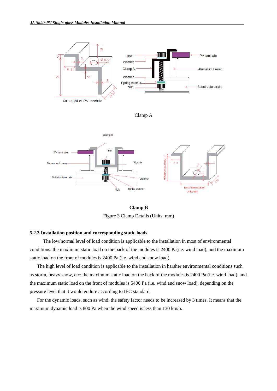

**Clamp B** Figure 3 Clamp Details (Units: mm)

#### **5.2.3 Installation position and corresponding static loads**

 The low/normal level of load condition is applicable to the installation in most of environmental conditions: the maximum static load on the back of the modules is 2400 Pa(i.e. wind load), and the maximum static load on the front of modules is 2400 Pa (i.e. wind and snow load).

The high level of load condition is applicable to the installation in harsher environmental conditions such as storm, heavy snow, etc: the maximum static load on the back of the modules is 2400 Pa (i.e. wind load), and the maximum static load on the front of modules is 5400 Pa (i.e. wind and snow load), depending on the pressure level that it would endure according to IEC standard.

For the dynamic loads, such as wind, the safety factor needs to be increased by 3 times. It means that the maximum dynamic load is 800 Pa when the wind speed is less than 130 km/h.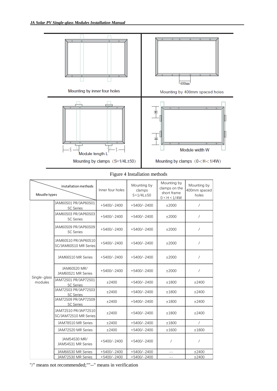

# Figure 4 Installation methods

| Installation methods<br>Moudle types |                                               | Inner four holes | Mounting by<br>clamps<br>$S=1/4L\pm 50$ | Mounting by<br>clamps on the<br>short frame<br>0 < H < 1/4W | Mounting by<br>400mm spaced<br>holes |
|--------------------------------------|-----------------------------------------------|------------------|-----------------------------------------|-------------------------------------------------------------|--------------------------------------|
|                                      | JAM60S01 PR/JAP60S01<br><b>SC Series</b>      | $+5400/-2400$    | $+5400/-2400$                           | ±2000                                                       | $\sqrt{2}$                           |
|                                      | JAM60S03 PR/JAP60S03<br><b>SC Series</b>      | $+5400/-2400$    | $+5400/-2400$                           | ±2000                                                       | $\prime$                             |
|                                      | JAM60S09 PR/JAP60S09<br><b>SC Series</b>      | $+5400/-2400$    | $+5400/-2400$                           | ±2000                                                       | $\prime$                             |
|                                      | JAM60S10 PR/JAP60S10<br>SC/JAM60S10 MR Series | $+5400/-2400$    | $+5400/-2400$                           | ±2000                                                       | $\sqrt{2}$                           |
|                                      | JAM66S10 MR Series                            | $+5400/-2400$    | $+5400/-2400$                           | ±2000                                                       | $\prime$                             |
|                                      | JAM60S20 MR/<br>JAM60S21 MR Series            | $+5400/-2400$    | $+5400/-2400$                           | ±2000                                                       | $\sqrt{2}$                           |
| Single-glass<br>modules              | JAM72S01 PR/JAP72S01<br><b>SC Series</b>      | ±2400            | $+5400/-2400$                           | ±1800                                                       | ±2400                                |
|                                      | JAM72S03 PR/JAP72S03<br><b>SC</b> Series      | ±2400            | $+5400/-2400$                           | ±1800                                                       | ±2400                                |
|                                      | JAM72S09 PR/JAP72S09<br><b>SC Series</b>      | ±2400            | $+5400/-2400$                           | ±1800                                                       | ±2400                                |
|                                      | JAM72S10 PR/JAP72S10<br>SC/JAM72S10 MR Series | ±2400            | $+5400/-2400$                           | ±1800                                                       | ±2400                                |
|                                      | JAM78S10 MR Series                            | ±2400            | $+5400/-2400$                           | ±1800                                                       | $\sqrt{2}$                           |
|                                      | JAM72S20 MR Series                            | ±2400            | $+5400/-2400$                           | ±1600                                                       | ±1800                                |
|                                      | JAM54S30 MR/<br>JAM54S31 MR Series            | $+5400/-2400$    | $+5400/-2400$                           | $\prime$                                                    | $\sqrt{2}$                           |
|                                      | JAM66S30 MR Series                            | $+5400/-2400$    | $+5400/-2400$                           | $=$ $-$                                                     | ±2400                                |
|                                      | JAM72S30 MR Series                            | $+5400/-2400$    | $+5400/-2400$                           | $ -$                                                        | ±2400                                |

"/" means not recommended;""--" means in verification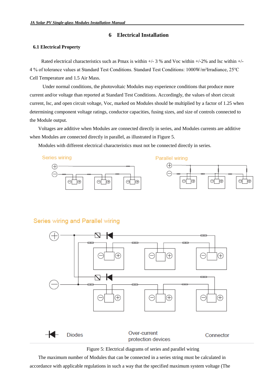# **6 Electrical Installation**

## <span id="page-11-1"></span><span id="page-11-0"></span>**6.1 Electrical Property**

Rated electrical characteristics such as Pmax is within +/- 3 % and Voc within +/-2% and Isc within +/- 4 % of tolerance values at Standard Test Conditions. Standard Test Conditions: 1000W/m²Irradiance, 25℃ Cell Temperature and 1.5 Air Mass.

Under normal conditions, the photovoltaic Modules may experience conditions that produce more current and/or voltage than reported at Standard Test Conditions. Accordingly, the values of short circuit current, Isc, and open circuit voltage, Voc, marked on Modules should be multiplied by a factor of 1.25 when determining component voltage ratings, conductor capacities, fusing sizes, and size of controls connected to the Module output.

Voltages are additive when Modules are connected directly in series, and Modules currents are additive when Modules are connected directly in parallel, as illustrated in Figure 5.

Modules with different electrical characteristics must not be connected directly in series.

Series wiring







# Series wiring and Parallel wiring



Figure 5: Electrical diagrams of series and parallel wiring

The maximum number of Modules that can be connected in a series string must be calculated in accordance with applicable regulations in such a way that the specified maximum system voltage (The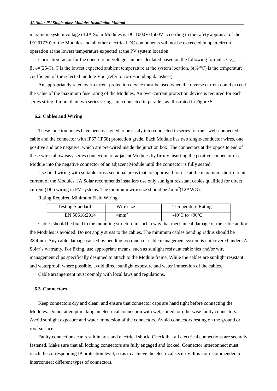maximum system voltage of JA Solar Modules is DC 1000V/1500V according to the safety appraisal of the IEC61730) of the Modules and all other electrical DC components will not be exceeded in open-circuit operation at the lowest temperature expected at the PV system location.

Correction factor for the open-circuit voltage can be calculated based on the following formula:  $C_{Voc}$ =1βVoc×(25-T). T is the lowest expected ambient temperature at the system location. β(%/℃) is the temperature coefficient of the selected module Voc (refer to corresponding datasheet).

<span id="page-12-0"></span>An appropriately rated over-current protection device must be used when the reverse current could exceed the value of the maximum fuse rating of the Modules. An over-current protection device is required for each series string if more than two series strings are connected in parallel, as illustrated in Figure 5.

#### **6.2 Cables and Wiring**

These junction boxes have been designed to be easily interconnected in series for their well-connected cable and the connector with IP67 (IP68) protection grade. Each Module has two single-conductor wires, one positive and one negative, which are pre-wired inside the junction box. The connectors at the opposite end of these wires allow easy series connection of adjacent Modules by firmly inserting the positive connector of a Module into the negative connector of an adjacent Module until the connector is fully seated.

Use field wiring with suitable cross-sectional areas that are approved for use at the maximum short-circuit current of the Modules. JA Solar recommends installers use only sunlight resistant cables qualified for direct current (DC) wiring in PV systems. The minimum wire size should be  $4mm^2(12AWG)$ .

Rating Required Minimum Field Wiring

| <b>Testing Standard</b> | Wire size        | <b>Temperature Rating</b>          |
|-------------------------|------------------|------------------------------------|
| EN 50618:2014           | 4mm <sup>2</sup> | $-40^{\circ}$ C to $+90^{\circ}$ C |

Cables should be fixed to the mounting structure in such a way that mechanical damage of the cable and/or the Modules is avoided. Do not apply stress to the cables. The minimum cables bending radius should be 38.4mm. Any cable damage caused by bending too much or cable management system is not covered under JA Solar's warranty. For fixing, use appropriate means, such as sunlight resistant cable ties and/or wire management clips specifically designed to attach to the Module frame. While the cables are sunlight resistant and waterproof, where possible, avoid direct sunlight exposure and water immersion of the cables.

<span id="page-12-1"></span>Cable arrangement must comply with local laws and regulations.

#### **6.3 Connectors**

Keep connectors dry and clean, and ensure that connector caps are hand tight before connecting the Modules. Do not attempt making an electrical connection with wet, soiled, or otherwise faulty connectors. Avoid sunlight exposure and water immersion of the connectors. Avoid connectors resting on the ground or roof surface.

Faulty connections can result in arcs and electrical shock. Check that all electrical connections are securely fastened. Make sure that all locking connectors are fully engaged and locked. Connector interconnect must reach the corresponding IP protection level, so as to achieve the electrical security. It is not recommended to interconnect different types of connectors.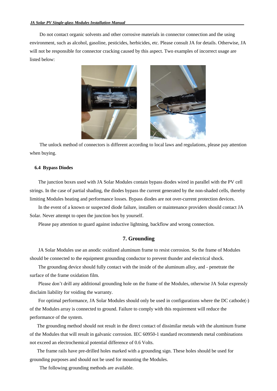Do not contact organic solvents and other corrosive materials in connector connection and the using environment, such as alcohol, gasoline, pesticides, herbicides, etc. Please consult JA for details. Otherwise, JA will not be responsible for connector cracking caused by this aspect. Two examples of incorrect usage are listed below:



<span id="page-13-0"></span>The unlock method of connectors is different according to local laws and regulations, please pay attention when buying.

#### **6.4 Bypass Diodes**

The junction boxes used with JA Solar Modules contain bypass diodes wired in parallel with the PV cell strings. In the case of partial shading, the diodes bypass the current generated by the non-shaded cells, thereby limiting Modules heating and performance losses. Bypass diodes are not over-current protection devices.

<span id="page-13-1"></span>In the event of a known or suspected diode failure, installers or maintenance providers should contact JA Solar. Never attempt to open the junction box by yourself.

Please pay attention to guard against inductive lightning, backflow and wrong connection.

# **7. Grounding**

JA Solar Modules use an anodic oxidized aluminum frame to resist corrosion. So the frame of Modules should be connected to the equipment grounding conductor to prevent thunder and electrical shock.

The grounding device should fully contact with the inside of the aluminum alloy, and - penetrate the surface of the frame oxidation film.

Please don't drill any additional grounding hole on the frame of the Modules, otherwise JA Solar expressly disclaim liability for voiding the warranty.

For optimal performance, JA Solar Modules should only be used in configurations where the DC cathode(-) of the Modules array is connected to ground. Failure to comply with this requirement will reduce the performance of the system.

The grounding method should not result in the direct contact of dissimilar metals with the aluminum frame of the Modules that will result in galvanic corrosion. IEC 60950-1 standard recommends metal combinations not exceed an electrochemical potential difference of 0.6 Volts.

The frame rails have pre-drilled holes marked with a grounding sign. These holes should be used for grounding purposes and should not be used for mounting the Modules.

The following grounding methods are available.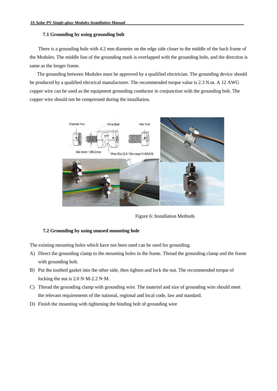#### <span id="page-14-0"></span>**7.1 Grounding by using grounding bolt**

There is a grounding hole with 4.2 mm diameter on the edge side closer to the middle of the back frame of the Modules. The middle line of the grounding mark is overlapped with the grounding hole, and the direction is same as the longer frame.

The grounding between Modules must be approved by a qualified electrician. The grounding device should be produced by a qualified electrical manufacturer. The recommended torque value is 2.3 N.m. A 12 AWG copper wire can be used as the equipment grounding conductor in conjunction with the grounding bolt. The copper wire should not be compressed during the installation.



Figure 6: Installation Methods

# <span id="page-14-1"></span>**7.2 Grounding by using unused mounting hole**

The existing mounting holes which have not been used can be used for grounding.

- A) Direct the grounding clamp to the mounting holes in the frame. Thread the grounding clamp and the frame with grounding bolt.
- B) Put the toothed gasket into the other side, then tighten and lock the nut. The recommended torque of locking the nut is 2.0 N·M-2.2 N·M.
- C) Thread the grounding clamp with grounding wire. The materiel and size of grounding wire should meet the relevant requirements of the national, regional and local code, law and standard.
- D) Finish the mounting with tightening the binding bolt of grounding wire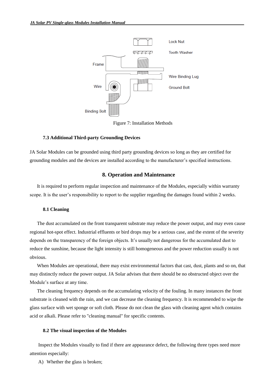

Figure 7: Installation Methods

#### <span id="page-15-0"></span>**7.3 Additional Third-party Grounding Devices**

<span id="page-15-1"></span>JA Solar Modules can be grounded using third party grounding devices so long as they are certified for grounding modules and the devices are installed according to the manufacturer's specified instructions.

# **8. Operation and Maintenance**

<span id="page-15-2"></span>It is required to perform regular inspection and maintenance of the Modules, especially within warranty scope. It is the user's responsibility to report to the supplier regarding the damages found within 2 weeks.

#### **8.1 Cleaning**

The dust accumulated on the front transparent substrate may reduce the power output, and may even cause regional hot-spot effect. Industrial effluents or bird drops may be a serious case, and the extent of the severity depends on the transparency of the foreign objects. It's usually not dangerous for the accumulated dust to reduce the sunshine, because the light intensity is still homogeneous and the power reduction usually is not obvious.

When Modules are operational, there may exist environmental factors that cast, dust, plants and so on, that may distinctly reduce the power output. JA Solar advises that there should be no obstructed object over the Module's surface at any time.

<span id="page-15-3"></span>The cleaning frequency depends on the accumulating velocity of the fouling. In many instances the front substrate is cleaned with the rain, and we can decrease the cleaning frequency. It is recommended to wipe the glass surface with wet sponge or soft cloth. Please do not clean the glass with cleaning agent which contains acid or alkali. Please refer to "cleaning manual" for specific contents.

#### **8.2 The visual inspection of the Modules**

Inspect the Modules visually to find if there are appearance defect, the following three types need more attention especially:

A) Whether the glass is broken;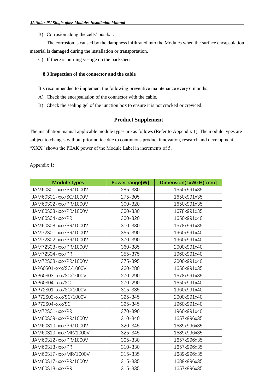B) Corrosion along the cells' bus-bar.

<span id="page-16-0"></span>The corrosion is caused by the dampness infiltrated into the Modules when the surface encapsulation material is damaged during the installation or transportation.

C) If there is burning vestige on the backsheet

#### **8.3 Inspection of the connector and the cable**

<span id="page-16-1"></span>It's recommended to implement the following preventive maintenance every 6 months:

- A) Check the encapsulation of the connector with the cable.
- B) Check the sealing gel of the junction box to ensure it is not cracked or creviced.

# **Product Supplement**

The installation manual applicable module types are as follows (Refer to Appendix 1). The module types are subject to changes without prior notice due to continuous product innovation, research and development. "XXX" shows the PEAK power of the Module Label in increments of 5.

Appendix 1:

| <b>Module types</b>   | <b>Power range[W]</b> | Dimension(LxWxH)[mm] |
|-----------------------|-----------------------|----------------------|
| JAM60S01-xxx/PR/1000V | 285-330               | 1650x991x35          |
| JAM60S01-xxx/SC/1000V | 275-305               | 1650x991x35          |
| JAM60S02-xxx/PR/1000V | 300-320               | 1650x991x35          |
| JAM60S03-xxx/PR/1000V | 300-330               | 1678x991x35          |
| JAM60S04-xxx/PR       | 300-320               | 1650x991x40          |
| JAM60S08-xxx/PR/1000V | 310-330               | 1678x991x35          |
| JAM72S01-xxx/PR/1000V | 355-390               | 1960x991x40          |
| JAM72S02-xxx/PR/1000V | 370-390               | 1960x991x40          |
| JAM72S03-xxx/PR/1000V | 360-385               | 2000x991x40          |
| JAM72S04-xxx/PR       | 355-375               | 1960x991x40          |
| JAM72S08-xxx/PR/1000V | 375-395               | 2000x991x40          |
| JAP60S01-xxx/SC/1000V | 260-280               | 1650x991x35          |
| JAP60S03-xxx/SC/1000V | 270-290               | 1678x991x35          |
| JAP60S04-xxx/SC       | 270-290               | 1650x991x40          |
| JAP72S01-xxx/SC/1000V | 315-335               | 1960x991x40          |
| JAP72S03-xxx/SC/1000V | 325-345               | 2000x991x40          |
| JAP72S04-xxx/SC       | 325-345               | 1960x991x40          |
| JAM72S01-xxx/PR       | 370-390               | 1960x991x40          |
| JAM60S09-xxx/PR/1000V | 310-340               | 1657x996x35          |
| JAM60S10-xxx/PR/1000V | 320-345               | 1689x996x35          |
| JAM60S10-xxx/MR/1000V | 325-345               | 1689x996x35          |
| JAM60S12-xxx/PR/1000V | 305-330               | 1657x996x35          |
| JAM60S13-xxx/PR       | 310-330               | 1657x996x35          |
| JAM60S17-xxx/MR/1000V | 315-335               | 1689x996x35          |
| JAM60S17-xxx/PR/1000V | 315-335               | 1689x996x35          |
| JAM60S18-xxx/PR       | 315-335               | 1657x996x35          |